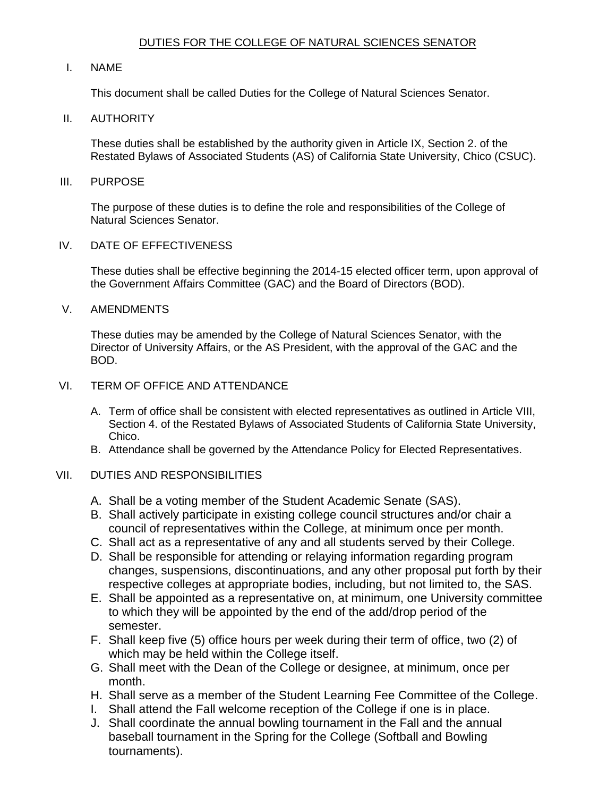## DUTIES FOR THE COLLEGE OF NATURAL SCIENCES SENATOR

## I. NAME

This document shall be called Duties for the College of Natural Sciences Senator.

## II. AUTHORITY

 These duties shall be established by the authority given in Article IX, Section 2. of the Restated Bylaws of Associated Students (AS) of California State University, Chico (CSUC).

#### III. PURPOSE

 The purpose of these duties is to define the role and responsibilities of the College of Natural Sciences Senator.

## IV. DATE OF EFFECTIVENESS

 These duties shall be effective beginning the 2014-15 elected officer term, upon approval of the Government Affairs Committee (GAC) and the Board of Directors (BOD).

## V. AMENDMENTS

 These duties may be amended by the College of Natural Sciences Senator, with the Director of University Affairs, or the AS President, with the approval of the GAC and the BOD.

## VI. TERM OF OFFICE AND ATTENDANCE

- A. Term of office shall be consistent with elected representatives as outlined in Article VIII, Section 4. of the Restated Bylaws of Associated Students of California State University, Chico.
- B. Attendance shall be governed by the Attendance Policy for Elected Representatives.

# VII. DUTIES AND RESPONSIBILITIES

- A. Shall be a voting member of the Student Academic Senate (SAS).
- B. Shall actively participate in existing college council structures and/or chair a council of representatives within the College, at minimum once per month.
- C. Shall act as a representative of any and all students served by their College.
- D. Shall be responsible for attending or relaying information regarding program changes, suspensions, discontinuations, and any other proposal put forth by their respective colleges at appropriate bodies, including, but not limited to, the SAS.
- to which they will be appointed by the end of the add/drop period of the E. Shall be appointed as a representative on, at minimum, one University committee semester.
- F. Shall keep five (5) office hours per week during their term of office, two (2) of which may be held within the College itself.
- G. Shall meet with the Dean of the College or designee, at minimum, once per month.
- H. Shall serve as a member of the Student Learning Fee Committee of the College.
- I. Shall attend the Fall welcome reception of the College if one is in place.
- baseball tournament in the Spring for the College (Softball and Bowling J. Shall coordinate the annual bowling tournament in the Fall and the annual tournaments).